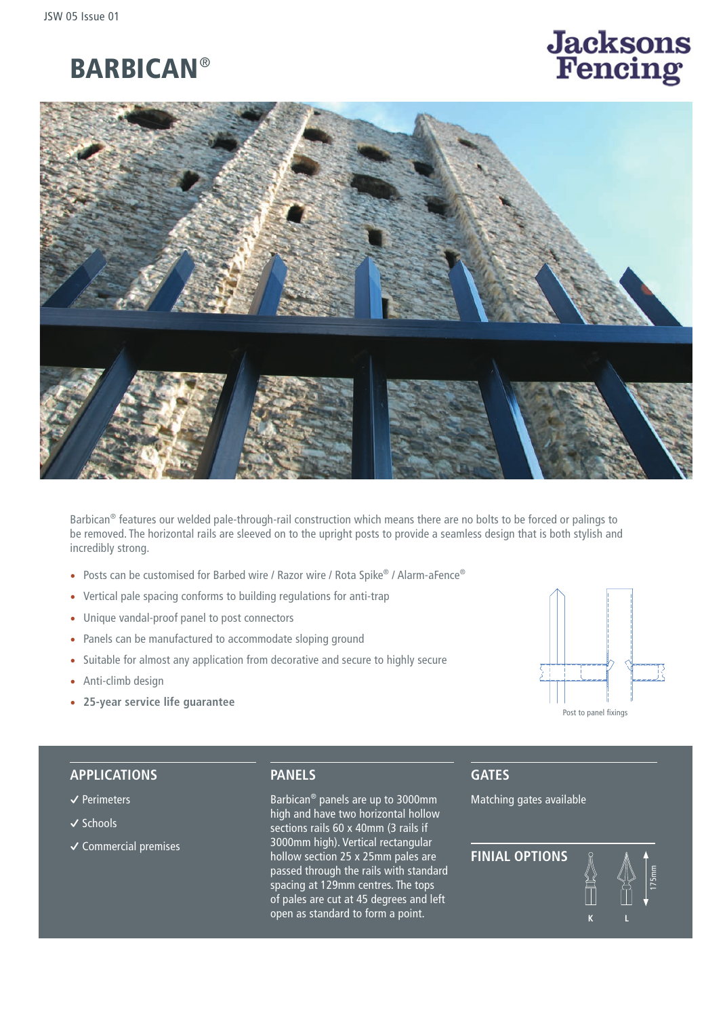

# **Jacksons**<br>Fencing



Barbican® features our welded pale-through-rail construction which means there are no bolts to be forced or palings to be removed. The horizontal rails are sleeved on to the upright posts to provide a seamless design that is both stylish and incredibly strong.

- Posts can be customised for Barbed wire / Razor wire / Rota Spike® / Alarm-aFence®
- Vertical pale spacing conforms to building regulations for anti-trap
- Unique vandal-proof panel to post connectors
- Panels can be manufactured to accommodate sloping ground
- Suitable for almost any application from decorative and secure to highly secure
- Anti-climb design
- **25-year service life guarantee**



#### **APPLICATIONS**

- **�** Perimeters
- **�** Schools
- **�** Commercial premises

**PANELS**

Barbican® panels are up to 3000mm high and have two horizontal hollow sections rails 60 x 40mm (3 rails if 3000mm high). Vertical rectangular hollow section 25 x 25mm pales are passed through the rails with standard spacing at 129mm centres. The tops of pales are cut at 45 degrees and left open as standard to form a point.

## **GATES**

Matching gates available

**FINIAL OPTIONS k l** 175mm